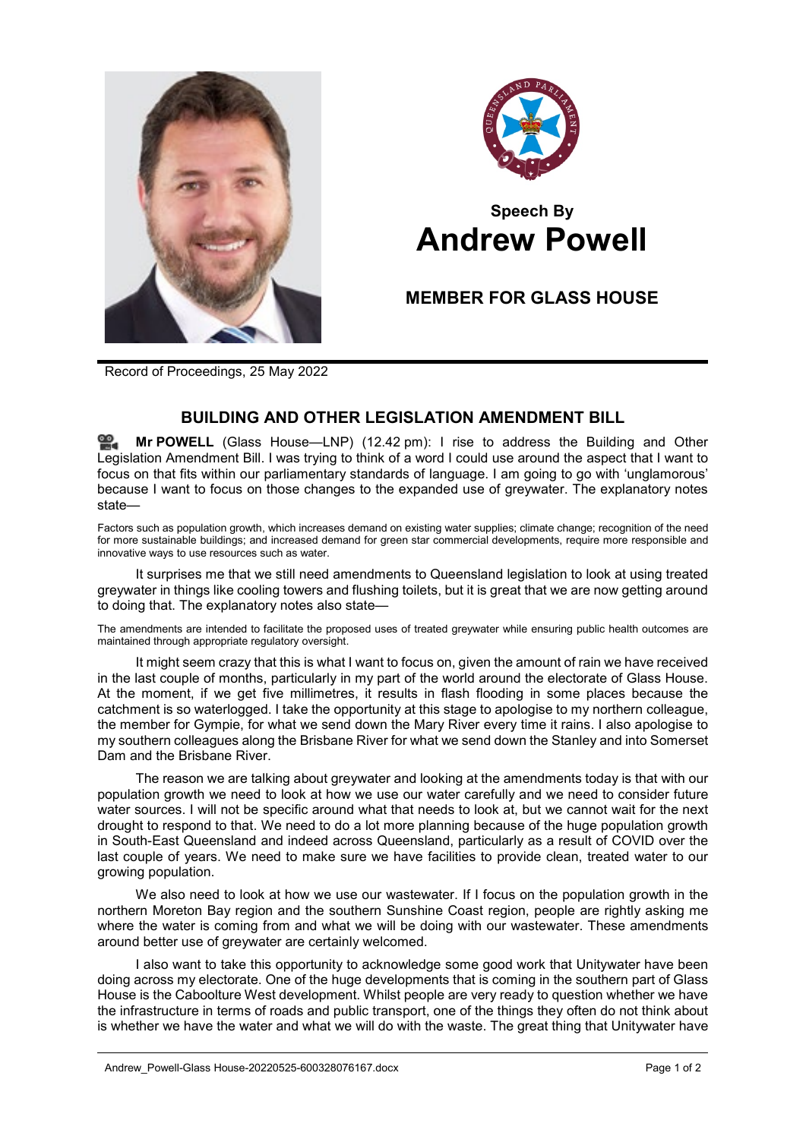



## **Speech By Andrew Powell**

## **MEMBER FOR GLASS HOUSE**

Record of Proceedings, 25 May 2022

## **BUILDING AND OTHER LEGISLATION AMENDMENT BILL**

**Mr [POWELL](http://www.parliament.qld.gov.au/docs/find.aspx?id=0Mba20220525_124223)** (Glass House—LNP) (12.42 pm): I rise to address the Building and Other Legislation Amendment Bill. I was trying to think of a word I could use around the aspect that I want to focus on that fits within our parliamentary standards of language. I am going to go with 'unglamorous' because I want to focus on those changes to the expanded use of greywater. The explanatory notes state—

Factors such as population growth, which increases demand on existing water supplies; climate change; recognition of the need for more sustainable buildings; and increased demand for green star commercial developments, require more responsible and innovative ways to use resources such as water.

It surprises me that we still need amendments to Queensland legislation to look at using treated greywater in things like cooling towers and flushing toilets, but it is great that we are now getting around to doing that. The explanatory notes also state—

The amendments are intended to facilitate the proposed uses of treated greywater while ensuring public health outcomes are maintained through appropriate regulatory oversight.

It might seem crazy that this is what I want to focus on, given the amount of rain we have received in the last couple of months, particularly in my part of the world around the electorate of Glass House. At the moment, if we get five millimetres, it results in flash flooding in some places because the catchment is so waterlogged. I take the opportunity at this stage to apologise to my northern colleague, the member for Gympie, for what we send down the Mary River every time it rains. I also apologise to my southern colleagues along the Brisbane River for what we send down the Stanley and into Somerset Dam and the Brisbane River.

The reason we are talking about greywater and looking at the amendments today is that with our population growth we need to look at how we use our water carefully and we need to consider future water sources. I will not be specific around what that needs to look at, but we cannot wait for the next drought to respond to that. We need to do a lot more planning because of the huge population growth in South-East Queensland and indeed across Queensland, particularly as a result of COVID over the last couple of years. We need to make sure we have facilities to provide clean, treated water to our growing population.

We also need to look at how we use our wastewater. If I focus on the population growth in the northern Moreton Bay region and the southern Sunshine Coast region, people are rightly asking me where the water is coming from and what we will be doing with our wastewater. These amendments around better use of greywater are certainly welcomed.

I also want to take this opportunity to acknowledge some good work that Unitywater have been doing across my electorate. One of the huge developments that is coming in the southern part of Glass House is the Caboolture West development. Whilst people are very ready to question whether we have the infrastructure in terms of roads and public transport, one of the things they often do not think about is whether we have the water and what we will do with the waste. The great thing that Unitywater have